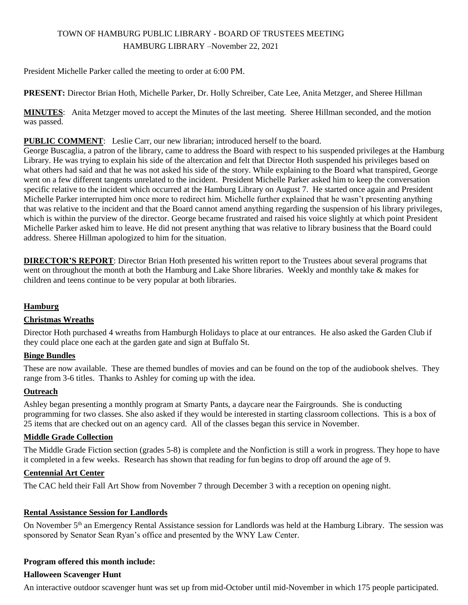# TOWN OF HAMBURG PUBLIC LIBRARY - BOARD OF TRUSTEES MEETING HAMBURG LIBRARY –November 22, 2021

President Michelle Parker called the meeting to order at 6:00 PM.

**PRESENT:** Director Brian Hoth, Michelle Parker, Dr. Holly Schreiber, Cate Lee, Anita Metzger, and Sheree Hillman

**MINUTES**: Anita Metzger moved to accept the Minutes of the last meeting. Sheree Hillman seconded, and the motion was passed.

## **PUBLIC COMMENT**: Leslie Carr, our new librarian; introduced herself to the board.

George Buscaglia, a patron of the library, came to address the Board with respect to his suspended privileges at the Hamburg Library. He was trying to explain his side of the altercation and felt that Director Hoth suspended his privileges based on what others had said and that he was not asked his side of the story. While explaining to the Board what transpired, George went on a few different tangents unrelated to the incident. President Michelle Parker asked him to keep the conversation specific relative to the incident which occurred at the Hamburg Library on August 7. He started once again and President Michelle Parker interrupted him once more to redirect him. Michelle further explained that he wasn't presenting anything that was relative to the incident and that the Board cannot amend anything regarding the suspension of his library privileges, which is within the purview of the director. George became frustrated and raised his voice slightly at which point President Michelle Parker asked him to leave. He did not present anything that was relative to library business that the Board could address. Sheree Hillman apologized to him for the situation.

**DIRECTOR'S REPORT:** Director Brian Hoth presented his written report to the Trustees about several programs that went on throughout the month at both the Hamburg and Lake Shore libraries. Weekly and monthly take & makes for children and teens continue to be very popular at both libraries.

## **Hamburg**

## **Christmas Wreaths**

Director Hoth purchased 4 wreaths from Hamburgh Holidays to place at our entrances. He also asked the Garden Club if they could place one each at the garden gate and sign at Buffalo St.

## **Binge Bundles**

These are now available. These are themed bundles of movies and can be found on the top of the audiobook shelves. They range from 3-6 titles. Thanks to Ashley for coming up with the idea.

## **Outreach**

Ashley began presenting a monthly program at Smarty Pants, a daycare near the Fairgrounds. She is conducting programming for two classes. She also asked if they would be interested in starting classroom collections. This is a box of 25 items that are checked out on an agency card. All of the classes began this service in November.

## **Middle Grade Collection**

The Middle Grade Fiction section (grades 5-8) is complete and the Nonfiction is still a work in progress. They hope to have it completed in a few weeks. Research has shown that reading for fun begins to drop off around the age of 9.

## **Centennial Art Center**

The CAC held their Fall Art Show from November 7 through December 3 with a reception on opening night.

## **Rental Assistance Session for Landlords**

On November 5<sup>th</sup> an Emergency Rental Assistance session for Landlords was held at the Hamburg Library. The session was sponsored by Senator Sean Ryan's office and presented by the WNY Law Center.

## **Program offered this month include:**

## **Halloween Scavenger Hunt**

An interactive outdoor scavenger hunt was set up from mid-October until mid-November in which 175 people participated.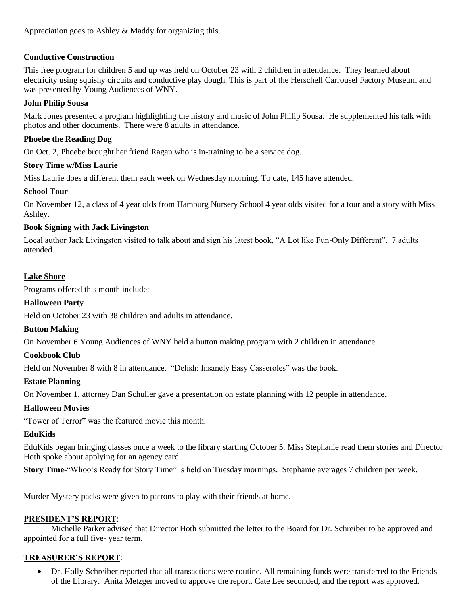Appreciation goes to Ashley & Maddy for organizing this.

## **Conductive Construction**

This free program for children 5 and up was held on October 23 with 2 children in attendance. They learned about electricity using squishy circuits and conductive play dough. This is part of the Herschell Carrousel Factory Museum and was presented by Young Audiences of WNY.

## **John Philip Sousa**

Mark Jones presented a program highlighting the history and music of John Philip Sousa. He supplemented his talk with photos and other documents. There were 8 adults in attendance.

## **Phoebe the Reading Dog**

On Oct. 2, Phoebe brought her friend Ragan who is in-training to be a service dog.

## **Story Time w/Miss Laurie**

Miss Laurie does a different them each week on Wednesday morning. To date, 145 have attended.

## **School Tour**

On November 12, a class of 4 year olds from Hamburg Nursery School 4 year olds visited for a tour and a story with Miss Ashley.

## **Book Signing with Jack Livingston**

Local author Jack Livingston visited to talk about and sign his latest book, "A Lot like Fun-Only Different". 7 adults attended.

## **Lake Shore**

Programs offered this month include:

## **Halloween Party**

Held on October 23 with 38 children and adults in attendance.

## **Button Making**

On November 6 Young Audiences of WNY held a button making program with 2 children in attendance.

## **Cookbook Club**

Held on November 8 with 8 in attendance. "Delish: Insanely Easy Casseroles" was the book.

## **Estate Planning**

On November 1, attorney Dan Schuller gave a presentation on estate planning with 12 people in attendance.

## **Halloween Movies**

"Tower of Terror" was the featured movie this month.

## **EduKids**

EduKids began bringing classes once a week to the library starting October 5. Miss Stephanie read them stories and Director Hoth spoke about applying for an agency card.

**Story Time**-"Whoo's Ready for Story Time" is held on Tuesday mornings. Stephanie averages 7 children per week.

Murder Mystery packs were given to patrons to play with their friends at home.

## **PRESIDENT'S REPORT**:

Michelle Parker advised that Director Hoth submitted the letter to the Board for Dr. Schreiber to be approved and appointed for a full five- year term.

## **TREASURER'S REPORT**:

 Dr. Holly Schreiber reported that all transactions were routine. All remaining funds were transferred to the Friends of the Library. Anita Metzger moved to approve the report, Cate Lee seconded, and the report was approved.